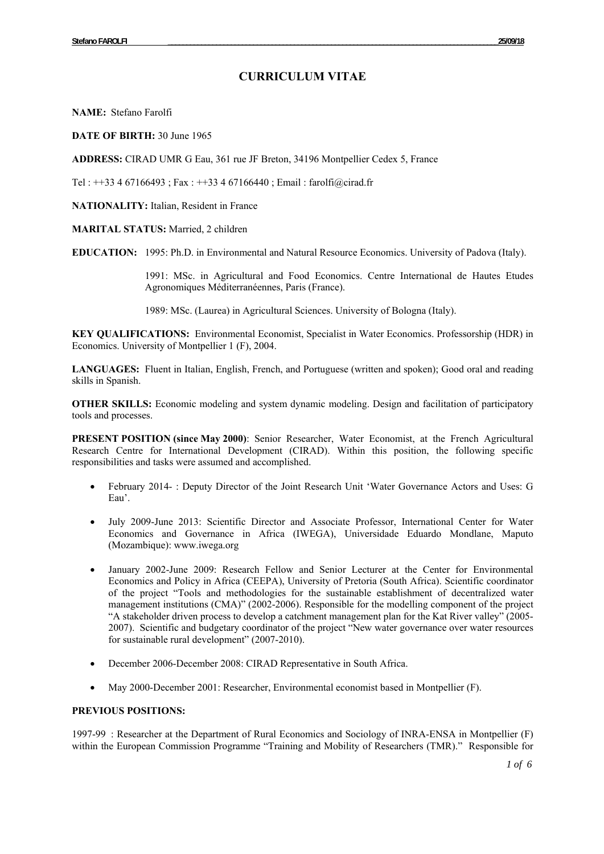# **CURRICULUM VITAE**

**NAME:** Stefano Farolfi

**DATE OF BIRTH:** 30 June 1965

**ADDRESS:** CIRAD UMR G Eau, 361 rue JF Breton, 34196 Montpellier Cedex 5, France

Tel : ++33 4 67166493 ; Fax : ++33 4 67166440 ; Email : farolfi@cirad.fr

**NATIONALITY:** Italian, Resident in France

### **MARITAL STATUS:** Married, 2 children

**EDUCATION:** 1995: Ph.D. in Environmental and Natural Resource Economics. University of Padova (Italy).

1991: MSc. in Agricultural and Food Economics. Centre International de Hautes Etudes Agronomiques Méditerranéennes, Paris (France).

1989: MSc. (Laurea) in Agricultural Sciences. University of Bologna (Italy).

**KEY QUALIFICATIONS:** Environmental Economist, Specialist in Water Economics. Professorship (HDR) in Economics. University of Montpellier 1 (F), 2004.

**LANGUAGES:** Fluent in Italian, English, French, and Portuguese (written and spoken); Good oral and reading skills in Spanish.

**OTHER SKILLS:** Economic modeling and system dynamic modeling. Design and facilitation of participatory tools and processes.

**PRESENT POSITION (since May 2000)**: Senior Researcher, Water Economist, at the French Agricultural Research Centre for International Development (CIRAD). Within this position, the following specific responsibilities and tasks were assumed and accomplished.

- February 2014- : Deputy Director of the Joint Research Unit 'Water Governance Actors and Uses: G Eau'.
- July 2009-June 2013: Scientific Director and Associate Professor, International Center for Water Economics and Governance in Africa (IWEGA), Universidade Eduardo Mondlane, Maputo (Mozambique): www.iwega.org
- January 2002-June 2009: Research Fellow and Senior Lecturer at the Center for Environmental Economics and Policy in Africa (CEEPA), University of Pretoria (South Africa). Scientific coordinator of the project "Tools and methodologies for the sustainable establishment of decentralized water management institutions (CMA)" (2002-2006). Responsible for the modelling component of the project "A stakeholder driven process to develop a catchment management plan for the Kat River valley" (2005- 2007). Scientific and budgetary coordinator of the project "New water governance over water resources for sustainable rural development" (2007-2010).
- December 2006-December 2008: CIRAD Representative in South Africa.
- May 2000-December 2001: Researcher, Environmental economist based in Montpellier (F).

## **PREVIOUS POSITIONS:**

1997-99 : Researcher at the Department of Rural Economics and Sociology of INRA-ENSA in Montpellier (F) within the European Commission Programme "Training and Mobility of Researchers (TMR)." Responsible for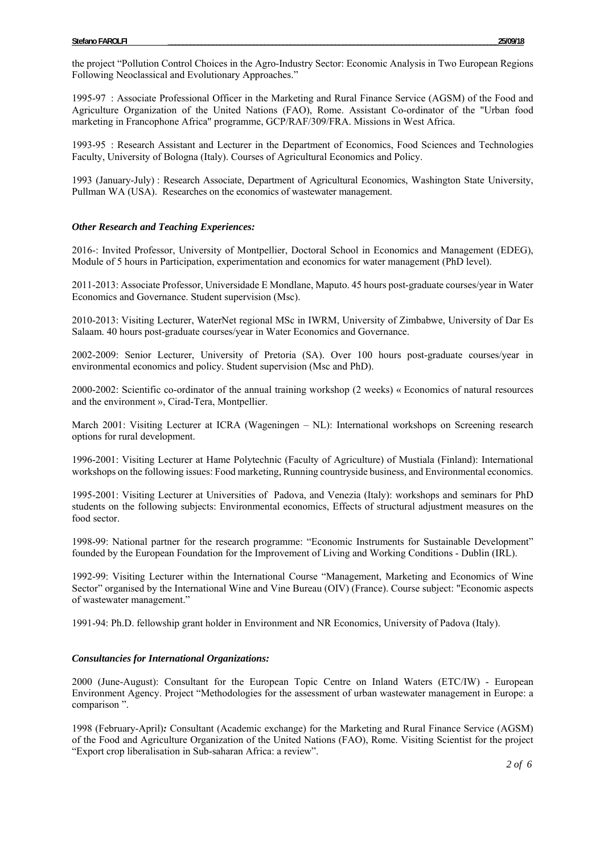the project "Pollution Control Choices in the Agro-Industry Sector: Economic Analysis in Two European Regions Following Neoclassical and Evolutionary Approaches."

1995-97 : Associate Professional Officer in the Marketing and Rural Finance Service (AGSM) of the Food and Agriculture Organization of the United Nations (FAO), Rome. Assistant Co-ordinator of the "Urban food marketing in Francophone Africa" programme, GCP/RAF/309/FRA. Missions in West Africa.

1993-95 : Research Assistant and Lecturer in the Department of Economics, Food Sciences and Technologies Faculty, University of Bologna (Italy). Courses of Agricultural Economics and Policy.

1993 (January-July) : Research Associate, Department of Agricultural Economics, Washington State University, Pullman WA (USA). Researches on the economics of wastewater management.

#### *Other Research and Teaching Experiences:*

2016-: Invited Professor, University of Montpellier, Doctoral School in Economics and Management (EDEG), Module of 5 hours in Participation, experimentation and economics for water management (PhD level).

2011-2013: Associate Professor, Universidade E Mondlane, Maputo. 45 hours post-graduate courses/year in Water Economics and Governance. Student supervision (Msc).

2010-2013: Visiting Lecturer, WaterNet regional MSc in IWRM, University of Zimbabwe, University of Dar Es Salaam. 40 hours post-graduate courses/year in Water Economics and Governance.

2002-2009: Senior Lecturer, University of Pretoria (SA). Over 100 hours post-graduate courses/year in environmental economics and policy. Student supervision (Msc and PhD).

2000-2002: Scientific co-ordinator of the annual training workshop (2 weeks) « Economics of natural resources and the environment », Cirad-Tera, Montpellier.

March 2001: Visiting Lecturer at ICRA (Wageningen – NL): International workshops on Screening research options for rural development.

1996-2001: Visiting Lecturer at Hame Polytechnic (Faculty of Agriculture) of Mustiala (Finland): International workshops on the following issues: Food marketing, Running countryside business, and Environmental economics.

1995-2001: Visiting Lecturer at Universities of Padova, and Venezia (Italy): workshops and seminars for PhD students on the following subjects: Environmental economics, Effects of structural adjustment measures on the food sector.

1998-99: National partner for the research programme: "Economic Instruments for Sustainable Development" founded by the European Foundation for the Improvement of Living and Working Conditions - Dublin (IRL).

1992-99: Visiting Lecturer within the International Course "Management, Marketing and Economics of Wine Sector" organised by the International Wine and Vine Bureau (OIV) (France). Course subject: "Economic aspects of wastewater management."

1991-94: Ph.D. fellowship grant holder in Environment and NR Economics, University of Padova (Italy).

#### *Consultancies for International Organizations:*

2000 (June-August): Consultant for the European Topic Centre on Inland Waters (ETC/IW) - European Environment Agency. Project "Methodologies for the assessment of urban wastewater management in Europe: a comparison ".

1998 (February-April)*:* Consultant (Academic exchange) for the Marketing and Rural Finance Service (AGSM) of the Food and Agriculture Organization of the United Nations (FAO), Rome. Visiting Scientist for the project "Export crop liberalisation in Sub-saharan Africa: a review".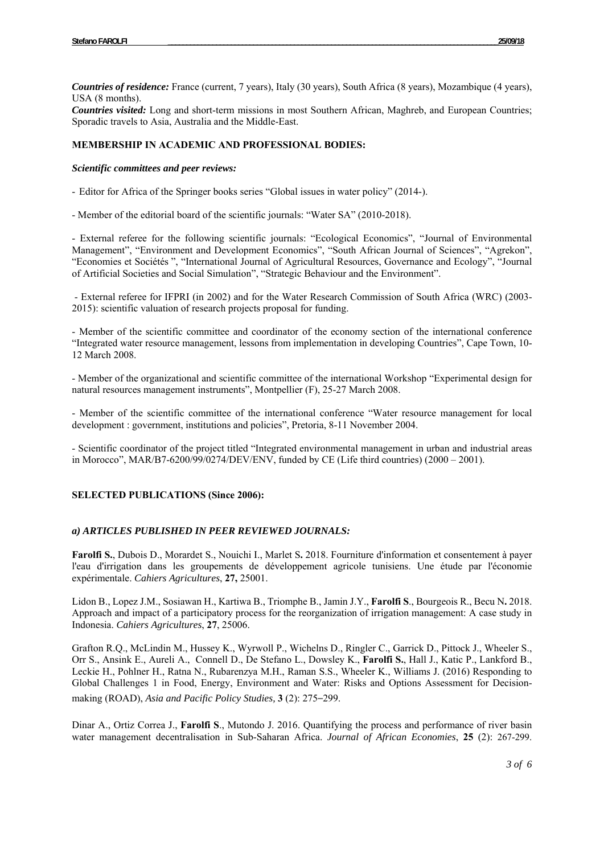*Countries of residence:* France (current, 7 years), Italy (30 years), South Africa (8 years), Mozambique (4 years), USA (8 months).

*Countries visited:* Long and short-term missions in most Southern African, Maghreb, and European Countries; Sporadic travels to Asia, Australia and the Middle-East.

# **MEMBERSHIP IN ACADEMIC AND PROFESSIONAL BODIES:**

*Scientific committees and peer reviews:* 

- Editor for Africa of the Springer books series "Global issues in water policy" (2014-).

- Member of the editorial board of the scientific journals: "Water SA" (2010-2018).

- External referee for the following scientific journals: "Ecological Economics", "Journal of Environmental Management", "Environment and Development Economics", "South African Journal of Sciences", "Agrekon", "Economies et Sociétés ", "International Journal of Agricultural Resources, Governance and Ecology", "Journal of Artificial Societies and Social Simulation", "Strategic Behaviour and the Environment".

 - External referee for IFPRI (in 2002) and for the Water Research Commission of South Africa (WRC) (2003- 2015): scientific valuation of research projects proposal for funding.

- Member of the scientific committee and coordinator of the economy section of the international conference "Integrated water resource management, lessons from implementation in developing Countries", Cape Town, 10- 12 March 2008.

- Member of the organizational and scientific committee of the international Workshop "Experimental design for natural resources management instruments", Montpellier (F), 25-27 March 2008.

- Member of the scientific committee of the international conference "Water resource management for local development : government, institutions and policies", Pretoria, 8-11 November 2004.

- Scientific coordinator of the project titled "Integrated environmental management in urban and industrial areas in Morocco", MAR/B7-6200/99/0274/DEV/ENV, funded by CE (Life third countries) (2000 – 2001).

# **SELECTED PUBLICATIONS (Since 2006):**

# *a) ARTICLES PUBLISHED IN PEER REVIEWED JOURNALS:*

**Farolfi S.**, Dubois D., Morardet S., Nouichi I., Marlet S**.** 2018. Fourniture d'information et consentement à payer l'eau d'irrigation dans les groupements de développement agricole tunisiens. Une étude par l'économie expérimentale. *Cahiers Agricultures*, **27,** 25001.

Lidon B., Lopez J.M., Sosiawan H., Kartiwa B., Triomphe B., Jamin J.Y., **Farolfi S**., Bourgeois R., Becu N**.** 2018. Approach and impact of a participatory process for the reorganization of irrigation management: A case study in Indonesia. *Cahiers Agricultures*, **27**, 25006.

Grafton R.Q., McLindin M., Hussey K., Wyrwoll P., Wichelns D., Ringler C., Garrick D., Pittock J., Wheeler S., Orr S., Ansink E., Aureli A., Connell D., De Stefano L., Dowsley K., **Farolfi S.**, Hall J., Katic P., Lankford B., Leckie H., Pohlner H., Ratna N., Rubarenzya M.H., Raman S.S., Wheeler K., Williams J. (2016) Responding to Global Challenges 1 in Food, Energy, Environment and Water: Risks and Options Assessment for Decisionmaking (ROAD), *Asia and Pacific Policy Studies,* **3** (2): 275–299.

Dinar A., Ortiz Correa J., **Farolfi S**., Mutondo J. 2016. Quantifying the process and performance of river basin water management decentralisation in Sub-Saharan Africa. *Journal of African Economies*, **25** (2): 267-299.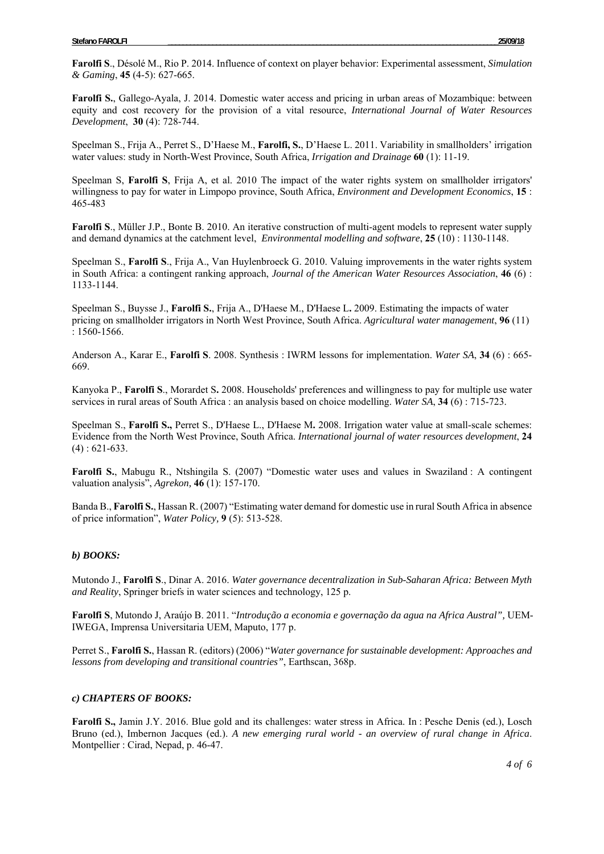**Farolfi S**., Désolé M., Rio P. 2014. Influence of context on player behavior: Experimental assessment, *Simulation & Gaming*, **45** (4-5): 627-665.

**Farolfi S.**, Gallego-Ayala, J. 2014. Domestic water access and pricing in urban areas of Mozambique: between equity and cost recovery for the provision of a vital resource, *International Journal of Water Resources Development*, **30** (4): 728-744.

Speelman S., Frija A., Perret S., D'Haese M., **Farolfi, S.**, D'Haese L. 2011. Variability in smallholders' irrigation water values: study in North-West Province, South Africa, *Irrigation and Drainage* **60** (1): 11-19.

Speelman S, **Farolfi S**, Frija A, et al. 2010 The impact of the water rights system on smallholder irrigators' willingness to pay for water in Limpopo province, South Africa, *Environment and Development Economics*, **15** : 465-483

**Farolfi S**., Müller J.P., Bonte B. 2010. An iterative construction of multi-agent models to represent water supply and demand dynamics at the catchment level, *Environmental modelling and software*, **25** (10) : 1130-1148.

Speelman S., **Farolfi S**., Frija A., Van Huylenbroeck G. 2010. Valuing improvements in the water rights system in South Africa: a contingent ranking approach, *Journal of the American Water Resources Association*, **46** (6) : 1133-1144.

Speelman S., Buysse J., **Farolfi S.**, Frija A., D'Haese M., D'Haese L**.** 2009. Estimating the impacts of water pricing on smallholder irrigators in North West Province, South Africa. *Agricultural water management*, **96** (11) : 1560-1566.

Anderson A., Karar E., **Farolfi S**. 2008. Synthesis : IWRM lessons for implementation. *Water SA*, **34** (6) : 665- 669.

Kanyoka P., **Farolfi S**., Morardet S**.** 2008. Households' preferences and willingness to pay for multiple use water services in rural areas of South Africa : an analysis based on choice modelling. *Water SA*, **34** (6) : 715-723.

Speelman S., **Farolfi S.,** Perret S., D'Haese L., D'Haese M**.** 2008. Irrigation water value at small-scale schemes: Evidence from the North West Province, South Africa. *International journal of water resources development*, **24**  $(4) : 621-633.$ 

**Farolfi S.**, Mabugu R., Ntshingila S. (2007) "Domestic water uses and values in Swaziland : A contingent valuation analysis", *Agrekon,* **46** (1): 157-170.

Banda B., **Farolfi S.**, Hassan R. (2007) "Estimating water demand for domestic use in rural South Africa in absence of price information", *Water Policy,* **9** (5): 513-528.

#### *b) BOOKS:*

Mutondo J., **Farolfi S**., Dinar A. 2016. *Water governance decentralization in Sub-Saharan Africa: Between Myth and Reality*, Springer briefs in water sciences and technology, 125 p.

**Farolfi S**, Mutondo J, Araújo B. 2011. "*Introdução a economia e governação da agua na Africa Austral",* UEM-IWEGA, Imprensa Universitaria UEM, Maputo, 177 p.

Perret S., **Farolfi S.**, Hassan R. (editors) (2006) "*Water governance for sustainable development: Approaches and lessons from developing and transitional countries"*, Earthscan, 368p.

#### *c) CHAPTERS OF BOOKS:*

**Farolfi S.,** Jamin J.Y. 2016. Blue gold and its challenges: water stress in Africa. In : Pesche Denis (ed.), Losch Bruno (ed.), Imbernon Jacques (ed.). *A new emerging rural world - an overview of rural change in Africa*. Montpellier : Cirad, Nepad, p. 46-47.